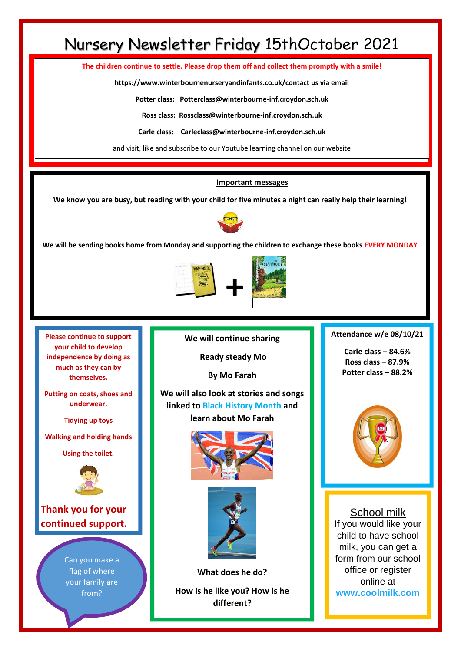# Nursery Newsletter Friday 15thOctober 2021

**The children continue to settle. Please drop them off and collect them promptly with a smile!**

**https://www.winterbournenurseryandinfants.co.uk/contact us via email**

**Potter class: Potterclass@winterbourne-inf.croydon.sch.uk**

**Ross class: Rossclass@winterbourne-inf.croydon.sch.uk**

**Carle class: Carleclass@winterbourne-inf.croydon.sch.uk**

and visit, like and subscribe to our Youtube learning channel on our website

#### **Important messages**

**We know you are busy, but reading with your child for five minutes a night can really help their learning!**



**We will be sending books home from Monday and supporting the children to exchange these books EVERY MONDAY**



**Please continue to support your child to develop independence by doing as much as they can by themselves.** 

**Putting on coats, shoes and underwear.**

**Tidying up toys**

**Walking and holding hands** 

**Using the toilet.**



**Thank you for your continued support.**

> Can you make a flag of where your family are from?

**We will continue sharing**

**Ready steady Mo**

**By Mo Farah**

**We will also look at stories and songs linked to Black History Month and learn about Mo Farah**





**What does he do? How is he like you? How is he different?**

**Can you do what he does?**

**Attendance w/e 08/10/21**

**Carle class – 84.6% Ross class – 87.9% Potter class – 88.2%**



School milk If you would like your child to have school milk, you can get a form from our school office or register online at **[www.coolmilk.com](http://www.coolmilk.com/)**